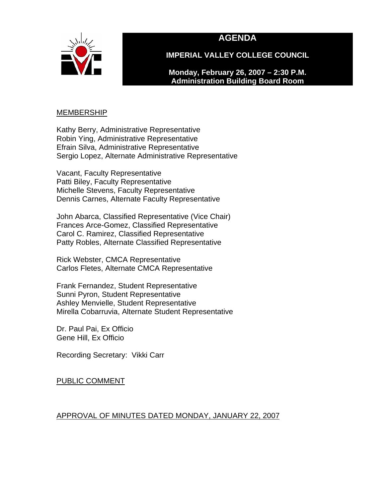

# **AGENDA**

**IMPERIAL VALLEY COLLEGE COUNCIL** 

**Monday, February 26, 2007 – 2:30 P.M. Administration Building Board Room** 

#### <u>MEMBERSHIP</u>

Kathy Berry, Administrative Representative Robin Ying, Administrative Representative Efrain Silva, Administrative Representative Sergio Lopez, Alternate Administrative Representative

Vacant, Faculty Representative Patti Biley, Faculty Representative Michelle Stevens, Faculty Representative Dennis Carnes, Alternate Faculty Representative

John Abarca, Classified Representative (Vice Chair) Frances Arce-Gomez, Classified Representative Carol C. Ramirez, Classified Representative Patty Robles, Alternate Classified Representative

Rick Webster, CMCA Representative Carlos Fletes, Alternate CMCA Representative

Frank Fernandez, Student Representative Sunni Pyron, Student Representative Ashley Menvielle, Student Representative Mirella Cobarruvia, Alternate Student Representative

Dr. Paul Pai, Ex Officio Gene Hill, Ex Officio

Recording Secretary: Vikki Carr

PUBLIC COMMENT

## APPROVAL OF MINUTES DATED MONDAY, JANUARY 22, 2007